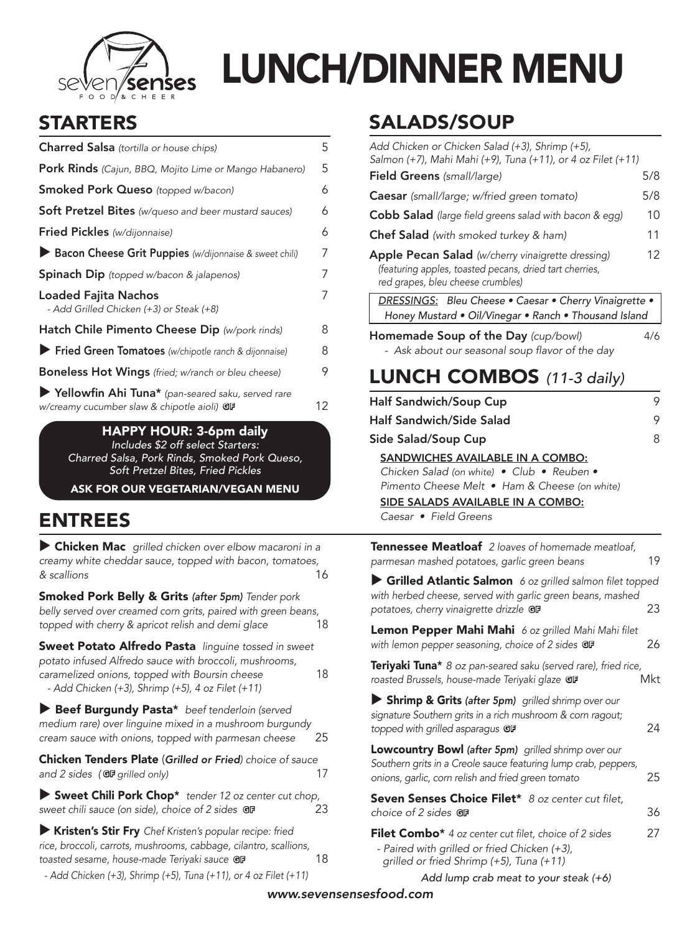

# LUNCH/DINNER MENU

# STARTERS

| Charred Salsa (tortilla or house chips)                                                          | 5  |
|--------------------------------------------------------------------------------------------------|----|
| Pork Rinds (Cajun, BBQ, Mojito Lime or Mango Habanero)                                           | 5  |
| <b>Smoked Pork Queso</b> (topped w/bacon)                                                        | 6  |
| Soft Pretzel Bites (w/queso and beer mustard sauces)                                             | 6  |
| Fried Pickles (w/dijonnaise)                                                                     | 6  |
| Bacon Cheese Grit Puppies (w/dijonnaise & sweet chili)                                           | 7  |
| <b>Spinach Dip</b> (topped w/bacon & jalapenos)                                                  | 7  |
| Loaded Fajita Nachos<br>- Add Grilled Chicken (+3) or Steak (+8)                                 | 7  |
| Hatch Chile Pimento Cheese Dip (w/pork rinds)                                                    | 8  |
| Fried Green Tomatoes (w/chipotle ranch & dijonnaise)                                             | 8  |
| <b>Boneless Hot Wings</b> (fried; w/ranch or bleu cheese)                                        | 9  |
| Yellowfin Ahi Tuna* (pan-seared saku, served rare<br>w/creamy cucumber slaw & chipotle aioli) GF | 12 |
| $ADDV$ $H$ $IID.$ $Ium$ $Aail.$                                                                  |    |

<u>Y HO</u>UR: 3-6pm daily *Includes \$2 off select Starters: Charred Salsa, Pork Rinds, Smoked Pork Queso, Soft Pretzel Bites, Fried Pickles*

ASK FOR OUR VEGETARIAN/VEGAN MENU

#### ENTREES

 $\triangleright$  Chicken Mac grilled chicken over elbow macaroni in a creamy white cheddar sauce, topped with bacon, tomatoes, & scallions 16

Smoked Pork Belly & Grits *(after 5pm) Tender pork*  belly served over creamed corn grits, paired with green beans, topped with cherry & apricot relish *and demi glace* 18

Sweet Potato Alfredo Pasta *linguine tossed in sweet*  potato infused Alfredo sauce with broccoli, mushrooms, *caramelized onions, topped with Boursin cheese* 18  *- Add Chicken (+3), Shrimp (+5), 4 oz Filet (+11)*

Beef Burgundy Pasta\* beef tenderloin (served medium rare) over linguine mixed in a mushroom burgundy *cream sauce with onions, topped with parmesan cheese* 25

Chicken Tenders Plate (*Grilled or Fried) choice of sauce and 2 sides (GF grilled only)* 17

▶ Sweet Chili Pork Chop<sup>\*</sup> tender 12 oz center cut chop, *sweet chili sauce (on side), choice of 2 sides* G<sub>P</sub> 23

u Kristen's Stir Fry *Chef Kristen's popular recipe: fried*  rice, broccoli, carrots, mushrooms, cabbage, cilantro, scallions, **toasted sesame, house-made Teriyaki sauce GF** 18  *- Add Chicken (+3), Shrimp (+5), Tuna (+11), or 4 oz Filet (+11)*

#### SALADS/SOUP

| 1597 J J                                                                                                                                                                                      |     |
|-----------------------------------------------------------------------------------------------------------------------------------------------------------------------------------------------|-----|
| Add Chicken or Chicken Salad (+3), Shrimp (+5),<br>Salmon (+7), Mahi Mahi (+9), Tuna (+11), or 4 oz Filet (+11)                                                                               |     |
| <b>Field Greens</b> (small/large)                                                                                                                                                             | 5/8 |
| <b>Caesar</b> (small/large; w/fried green tomato)                                                                                                                                             | 5/8 |
| <b>Cobb Salad</b> (large field greens salad with bacon & egg)                                                                                                                                 | 10  |
| <b>Chef Salad</b> (with smoked turkey & ham)                                                                                                                                                  | 11  |
| Apple Pecan Salad (w/cherry vinaigrette dressing)<br>(featuring apples, toasted pecans, dried tart cherries,<br>red grapes, bleu cheese crumbles)                                             | 12  |
| DRESSINGS: Bleu Cheese . Caesar . Cherry Vinaigrette .<br>Honey Mustard . Oil/Vinegar . Ranch . Thousand Island                                                                               |     |
| Homemade Soup of the Day (cup/bowl)<br>- Ask about our seasonal soup flavor of the day                                                                                                        | 4/6 |
| <b>LUNCH COMBOS</b> $(11-3 \text{ daily})$                                                                                                                                                    |     |
| <b>Half Sandwich/Soup Cup</b>                                                                                                                                                                 | 9   |
| <b>Half Sandwich/Side Salad</b>                                                                                                                                                               | 9   |
| Side Salad/Soup Cup                                                                                                                                                                           | 8   |
| SANDWICHES AVAILABLE IN A COMBO:<br>Chicken Salad (on white) • Club • Reuben •<br>Pimento Cheese Melt • Ham & Cheese (on white)<br>SIDE SALADS AVAILABLE IN A COMBO:<br>Caesar • Field Greens |     |
| Tennessee Meatloaf 2 loaves of homemade meatloaf,<br>parmesan mashed potatoes, garlic green beans                                                                                             | 19  |
| Grilled Atlantic Salmon 6 oz grilled salmon filet topped                                                                                                                                      |     |
| with herbed cheese, served with garlic green beans, mashed<br>potatoes, cherry vinaigrette drizzle GP                                                                                         | 23  |
| Lemon Pepper Mahi Mahi 6 oz grilled Mahi Mahi filet<br>with lemon pepper seasoning, choice of 2 sides GP                                                                                      | 26  |
| Teriyaki Tuna* 8 oz pan-seared saku (served rare), fried rice,<br>roasted Brussels, house-made Teriyaki glaze GP                                                                              | Mkt |
| Shrimp & Grits (after 5pm) grilled shrimp over our<br>signature Southern grits in a rich mushroom & corn ragout;<br>topped with grilled asparagus GP                                          | 24  |
| <b>Lowcountry Bowl (after 5pm)</b> grilled shrimp over our                                                                                                                                    |     |

Southern grits in a Creole sauce featuring lump crab, peppers, *onions, garlic, corn relish and fried green tomato* 25

Seven Senses Choice Filet\* 8 oz center cut filet. *choice of 2 sides* G<sub>F</sub> 36

| Filet Combo* 4 oz center cut filet, choice of 2 sides | 27 |
|-------------------------------------------------------|----|
| - Paired with grilled or fried Chicken (+3),          |    |
| grilled or fried Shrimp (+5), Tuna (+11)              |    |

*Add lump crab meat to your steak (+6)*